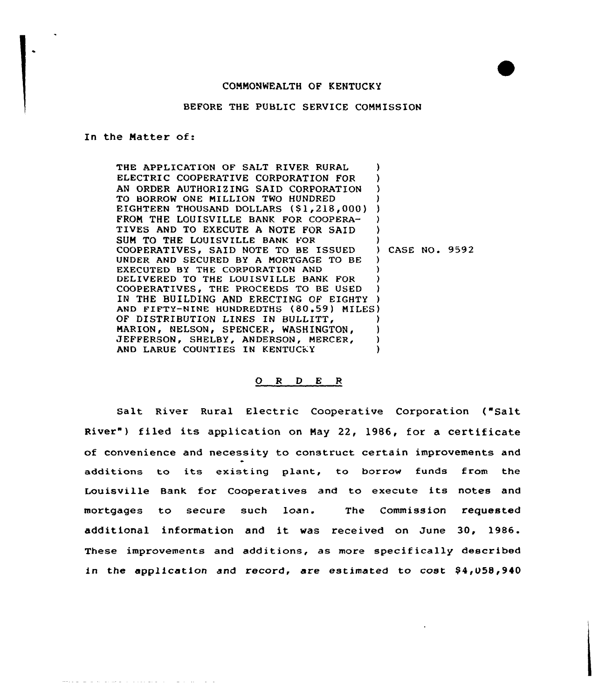## COMMONWEALTH OF KENTUCKY

## BEFORE THE PUBLIC SERVICE COMMISSION

## In the Matter of:

الوارث والمتعارف والمستندات والمتعاونة والمتعاونة والمستحدث والمتعارض والمتعاونة

THE APPLICATION OF SALT RIVER RURAL ELECTRIC COOPERATIVE CORPORATION FOR ) AN ORDER AUTHORIZING SAID CORPORATION TO BORROW ONE MILLION TWO HUNDRED (1998) EIGHTEEN THOUSAND DOLLARS (\$1,218,000) FROM THE LOUISVILLE BANK FOR COOPERA-TIVES AND TO EXECUTE <sup>A</sup> NOTE FOR SAID ) SUM TO THE LOUISVILLE BANK FOR (2008)<br>COOPERATIVES, SAID NOTE TO BE ISSUED (2) CASE NO. 9592 COOPERATIVES, SAID NOTE TO BE ISSUED UNDER AND SECURED BY A MORTGAGE TO BE ) EXECUTED BY THE CORPORATION AND ) DELIVERED TO THE LOUISVILLE BANK FOR ) COOPERATIVES, THE PROCEEDS TO BE USED ) IN THE BUILDING AND ERECTING OF EIGHTY ) AND FIFTY-NINE HUNDREDTHS (80.59) MILES)<br>OF DISTRIBUTION LINES IN BULLITT. OF DISTRIBUTION LINES IN BULLITT, (2008)<br>MARION, NELSON, SPENCER, WASHINGTON, (2008) MARION, NELSON, SPENCER, WASHINGTON, JEFFERSON, SHELBY, ANDERSON, MERCER, J. AND LARUE COUNTIES IN KENTUCKY (AND

## 0 <sup>R</sup> <sup>D</sup> <sup>E</sup> <sup>R</sup>

Salt River Rural Electric Cooperative Corporation ("Salt River") filed its application on May 22, 1986, for a certificate of convenience and necessity to construct certain improvements and additions to its existing plant, to borrow funds from the Louisville Bank for Cooperatives and to execute its notes and mortgages to secure such loan. The Commission requested additional information and it was received on June 30, 1986. These improvements and additions, as more specifically described in the application and record, are estimated to cost  $$4,058,940$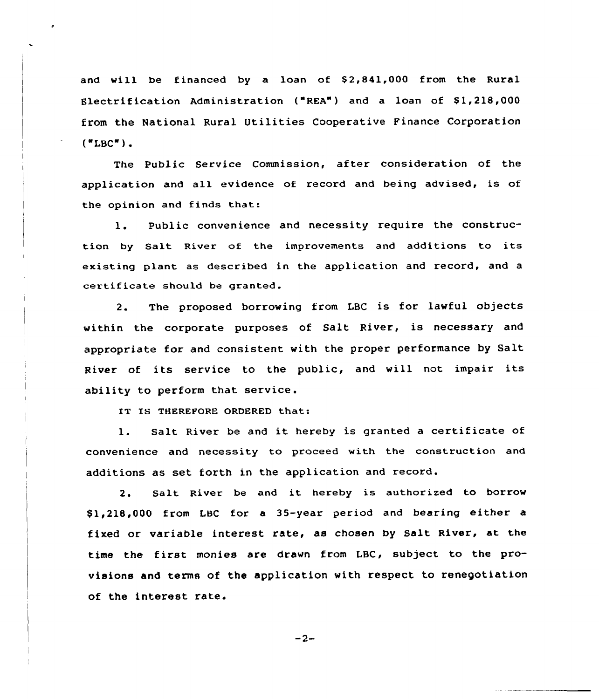and will be financed by a loan of \$2,841,000 from the Rural Electrification Administration ("REA") and a loan of \$1,218,000 from the National Rural Utilities Cooperative Finance Corporation  $("LBC")$ .

The Public Service Commission, after consideration of the application and all evidence of record and being advised, is of the opinion and finds that:

1. Public convenience and necessity require the construction by Salt River of the improvements and additions to its existing plant as described in the application and record, and a certificate should be granted.

2. The proposed borrowing from LBC is for lawful objects within the corporate purposes of Salt River, is necessary and appropriate for and consistent with the proper performance by Salt River of its service to the public, and vill not impair its ability to perform that service.

IT IS THEREFORE ORDERED that:

1. Salt River be and it hereby is granted <sup>a</sup> certificate of convenience and necessity to proceed with the construction and additions as set forth in the application and record.

2. Salt River be and it hereby is authorized to borrow \$ 1,218,000 from LBC for a 35-year period and bearing either <sup>a</sup> fixed or variable interest rate, as chosen by Salt River, at the time the first monies are drawn from LBC, subject to the provisions and terms of the application with respect to renegotiation of the interest rate.

$$
-2-
$$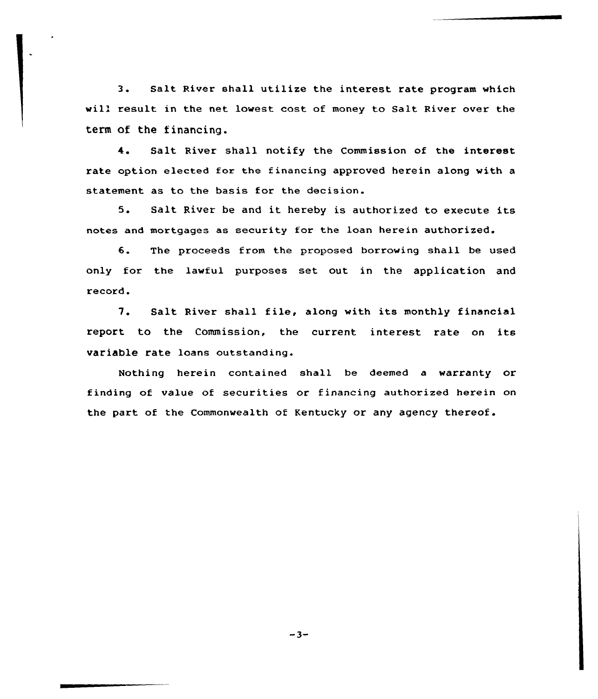3. Salt River shall utilize the interest rate program which will result in the net lowest cost of money to Salt River over the term of the financing.

4. Salt River shall notify the Commission of the interest rate option elected for the financing approved herein along with a statement as to the basis for the decision.

5. Salt River be and it hereby is authorized to execute its notes and mortgages as security for the loan herein authorized.

6. The proceeds from the proposed borrowing shall be used only for the lawful purposes set out in the application and record.

7. Salt River shall file, along with its monthly financial report to the Commission, the current interest rate on its variable rate loans outstanding.

Nothing herein contained shall be deemed a warranty or finding of value of securities or financing authorized herein on the part of the Commonwealth of Kentucky or any agency thereof.

 $-3-$